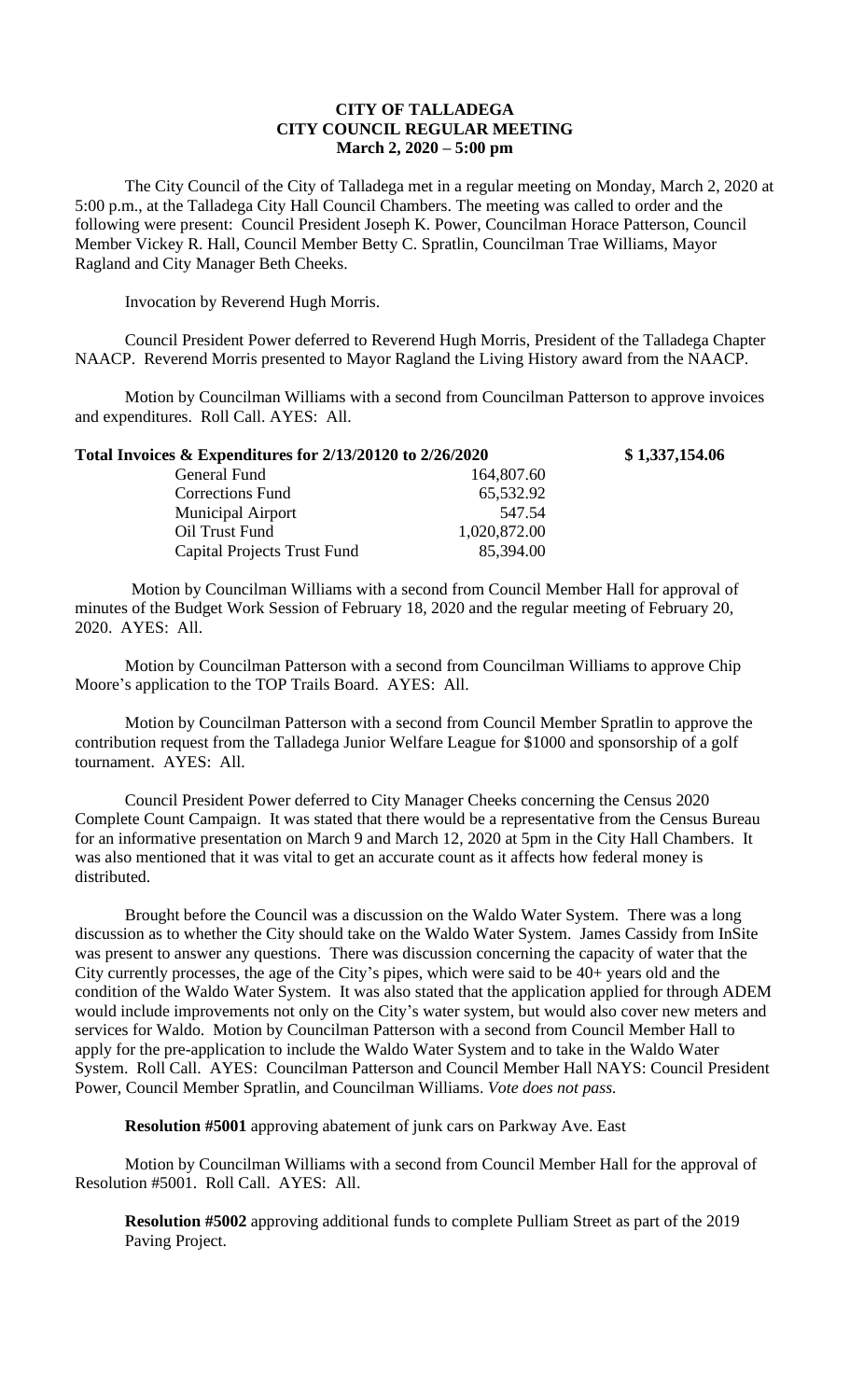## **CITY OF TALLADEGA CITY COUNCIL REGULAR MEETING March 2, 2020 – 5:00 pm**

The City Council of the City of Talladega met in a regular meeting on Monday, March 2, 2020 at 5:00 p.m., at the Talladega City Hall Council Chambers. The meeting was called to order and the following were present: Council President Joseph K. Power, Councilman Horace Patterson, Council Member Vickey R. Hall, Council Member Betty C. Spratlin, Councilman Trae Williams, Mayor Ragland and City Manager Beth Cheeks.

Invocation by Reverend Hugh Morris.

Council President Power deferred to Reverend Hugh Morris, President of the Talladega Chapter NAACP. Reverend Morris presented to Mayor Ragland the Living History award from the NAACP.

Motion by Councilman Williams with a second from Councilman Patterson to approve invoices and expenditures. Roll Call. AYES: All.

**Total Invoices & Expenditures for 2/13/20120 to 2/26/2020 \$ 1,337,154.06**

| Total Invoices $&$ Expenditures for 2/13/20120 to 2/26/2020 |              |
|-------------------------------------------------------------|--------------|
| General Fund                                                | 164,807.60   |
| <b>Corrections Fund</b>                                     | 65,532.92    |
| <b>Municipal Airport</b>                                    | 547.54       |
| Oil Trust Fund                                              | 1,020,872.00 |
| Capital Projects Trust Fund                                 | 85,394.00    |

Motion by Councilman Williams with a second from Council Member Hall for approval of minutes of the Budget Work Session of February 18, 2020 and the regular meeting of February 20, 2020. AYES: All.

Motion by Councilman Patterson with a second from Councilman Williams to approve Chip Moore's application to the TOP Trails Board. AYES: All.

Motion by Councilman Patterson with a second from Council Member Spratlin to approve the contribution request from the Talladega Junior Welfare League for \$1000 and sponsorship of a golf tournament. AYES: All.

Council President Power deferred to City Manager Cheeks concerning the Census 2020 Complete Count Campaign. It was stated that there would be a representative from the Census Bureau for an informative presentation on March 9 and March 12, 2020 at 5pm in the City Hall Chambers. It was also mentioned that it was vital to get an accurate count as it affects how federal money is distributed.

Brought before the Council was a discussion on the Waldo Water System. There was a long discussion as to whether the City should take on the Waldo Water System. James Cassidy from InSite was present to answer any questions. There was discussion concerning the capacity of water that the City currently processes, the age of the City's pipes, which were said to be 40+ years old and the condition of the Waldo Water System. It was also stated that the application applied for through ADEM would include improvements not only on the City's water system, but would also cover new meters and services for Waldo. Motion by Councilman Patterson with a second from Council Member Hall to apply for the pre-application to include the Waldo Water System and to take in the Waldo Water System. Roll Call. AYES: Councilman Patterson and Council Member Hall NAYS: Council President Power, Council Member Spratlin, and Councilman Williams. *Vote does not pass.*

**Resolution #5001** approving abatement of junk cars on Parkway Ave. East

Motion by Councilman Williams with a second from Council Member Hall for the approval of Resolution #5001. Roll Call. AYES: All.

**Resolution #5002** approving additional funds to complete Pulliam Street as part of the 2019 Paving Project.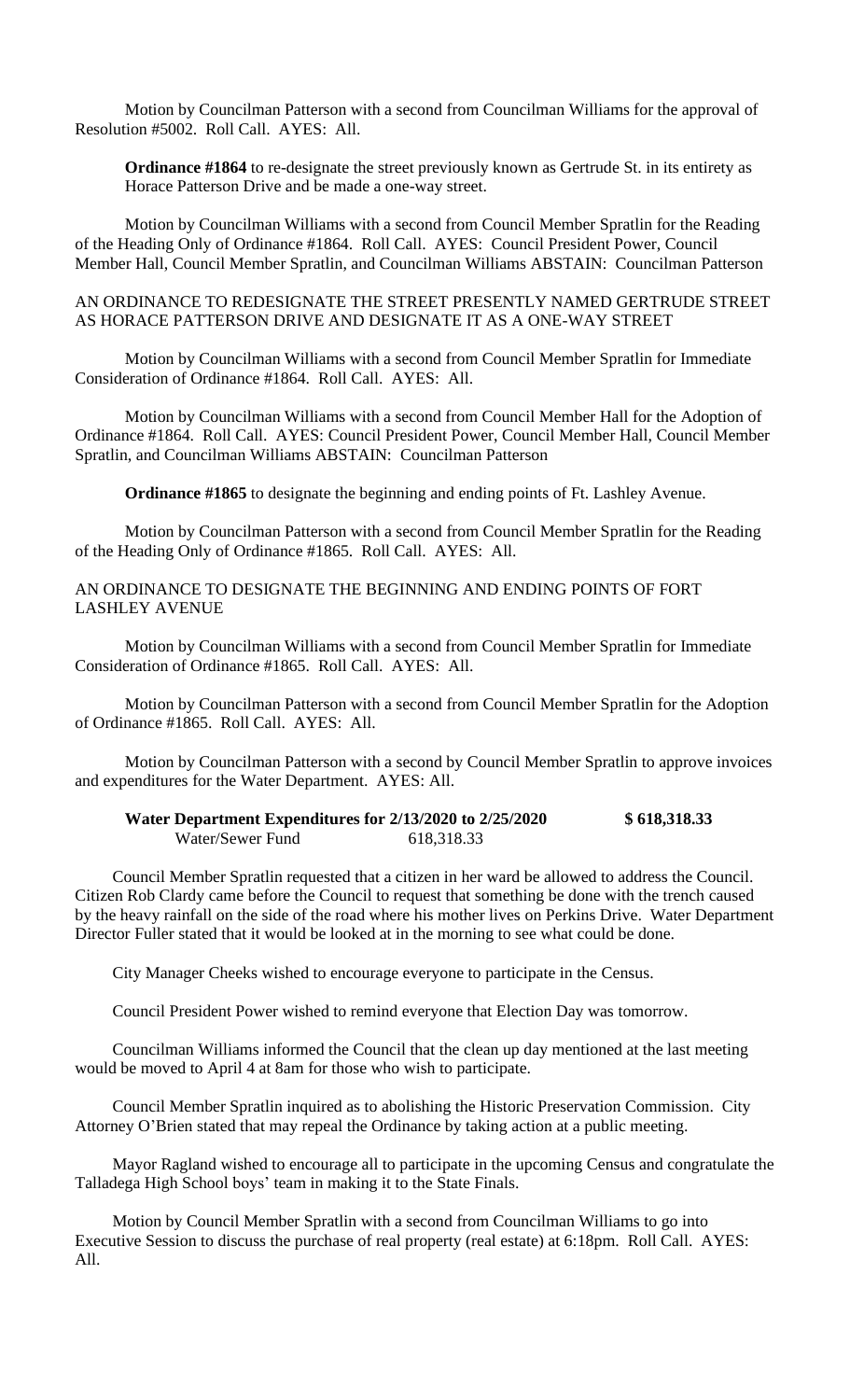Motion by Councilman Patterson with a second from Councilman Williams for the approval of Resolution #5002. Roll Call. AYES: All.

**Ordinance #1864** to re-designate the street previously known as Gertrude St. in its entirety as Horace Patterson Drive and be made a one-way street.

Motion by Councilman Williams with a second from Council Member Spratlin for the Reading of the Heading Only of Ordinance #1864. Roll Call. AYES: Council President Power, Council Member Hall, Council Member Spratlin, and Councilman Williams ABSTAIN: Councilman Patterson

#### AN ORDINANCE TO REDESIGNATE THE STREET PRESENTLY NAMED GERTRUDE STREET AS HORACE PATTERSON DRIVE AND DESIGNATE IT AS A ONE-WAY STREET

Motion by Councilman Williams with a second from Council Member Spratlin for Immediate Consideration of Ordinance #1864. Roll Call. AYES: All.

Motion by Councilman Williams with a second from Council Member Hall for the Adoption of Ordinance #1864. Roll Call. AYES: Council President Power, Council Member Hall, Council Member Spratlin, and Councilman Williams ABSTAIN: Councilman Patterson

**Ordinance #1865** to designate the beginning and ending points of Ft. Lashley Avenue.

Motion by Councilman Patterson with a second from Council Member Spratlin for the Reading of the Heading Only of Ordinance #1865. Roll Call. AYES: All.

### AN ORDINANCE TO DESIGNATE THE BEGINNING AND ENDING POINTS OF FORT LASHLEY AVENUE

Motion by Councilman Williams with a second from Council Member Spratlin for Immediate Consideration of Ordinance #1865. Roll Call. AYES: All.

Motion by Councilman Patterson with a second from Council Member Spratlin for the Adoption of Ordinance #1865. Roll Call. AYES: All.

Motion by Councilman Patterson with a second by Council Member Spratlin to approve invoices and expenditures for the Water Department. AYES: All.

#### **Water Department Expenditures for 2/13/2020 to 2/25/2020 \$ 618,318.33** Water/Sewer Fund 618,318.33

Council Member Spratlin requested that a citizen in her ward be allowed to address the Council. Citizen Rob Clardy came before the Council to request that something be done with the trench caused by the heavy rainfall on the side of the road where his mother lives on Perkins Drive. Water Department Director Fuller stated that it would be looked at in the morning to see what could be done.

City Manager Cheeks wished to encourage everyone to participate in the Census.

Council President Power wished to remind everyone that Election Day was tomorrow.

Councilman Williams informed the Council that the clean up day mentioned at the last meeting would be moved to April 4 at 8am for those who wish to participate.

Council Member Spratlin inquired as to abolishing the Historic Preservation Commission. City Attorney O'Brien stated that may repeal the Ordinance by taking action at a public meeting.

Mayor Ragland wished to encourage all to participate in the upcoming Census and congratulate the Talladega High School boys' team in making it to the State Finals.

Motion by Council Member Spratlin with a second from Councilman Williams to go into Executive Session to discuss the purchase of real property (real estate) at 6:18pm. Roll Call. AYES: All.